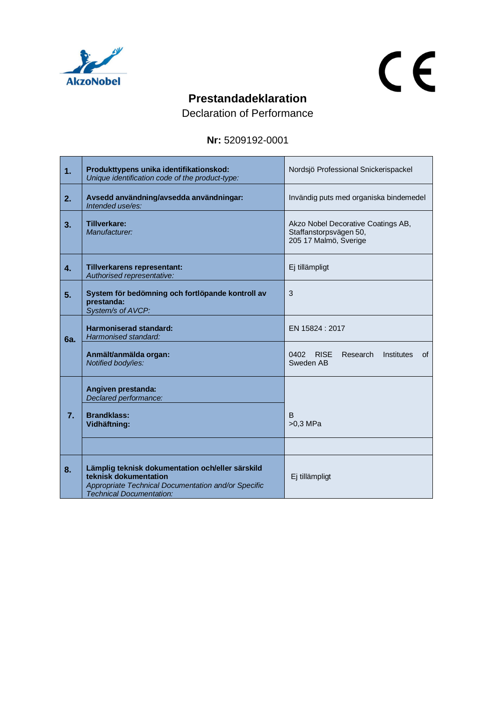

## $C<sub>f</sub>$

## **Prestandadeklaration**

Declaration of Performance

## **Nr:** 5209192-0001

| 1.               | Produkttypens unika identifikationskod:<br>Unique identification code of the product-type:                                                                          | Nordsjö Professional Snickerispackel                                                  |
|------------------|---------------------------------------------------------------------------------------------------------------------------------------------------------------------|---------------------------------------------------------------------------------------|
| 2.               | Avsedd användning/avsedda användningar:<br>Intended use/es:                                                                                                         | Invändig puts med organiska bindemedel                                                |
| 3.               | <b>Tillverkare:</b><br>Manufacturer:                                                                                                                                | Akzo Nobel Decorative Coatings AB,<br>Staffanstorpsvägen 50,<br>205 17 Malmö, Sverige |
| $\overline{4}$ . | Tillverkarens representant:<br>Authorised representative:                                                                                                           | Ej tillämpligt                                                                        |
| 5.               | System för bedömning och fortlöpande kontroll av<br>prestanda:<br>System/s of AVCP:                                                                                 | 3                                                                                     |
| 6a.              | Harmoniserad standard:<br>Harmonised standard:                                                                                                                      | EN 15824 : 2017                                                                       |
|                  | Anmält/anmälda organ:<br>Notified body/ies:                                                                                                                         | 0402 RISE<br>Research<br>Institutes<br>οf<br>Sweden AB                                |
|                  | Angiven prestanda:<br>Declared performance:                                                                                                                         |                                                                                       |
| 7.               | <b>Brandklass:</b><br>Vidhäftning:                                                                                                                                  | B<br>$>0.3$ MPa                                                                       |
|                  |                                                                                                                                                                     |                                                                                       |
| 8.               | Lämplig teknisk dokumentation och/eller särskild<br>teknisk dokumentation<br>Appropriate Technical Documentation and/or Specific<br><b>Technical Documentation:</b> | Ej tillämpligt                                                                        |